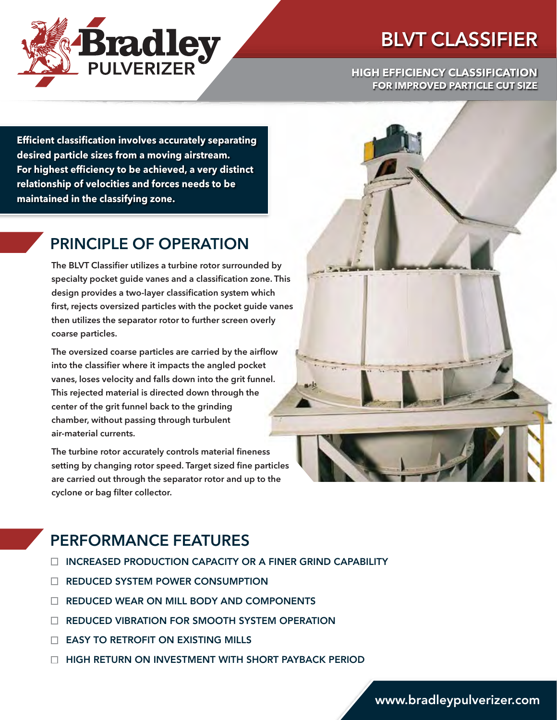

# BLVT CLASSIFIER

**HIGH EFFICIENCY CLASSIFICATION FOR IMPROVED PARTICLE CUT SIZE**

**Efficient classification involves accurately separating desired particle sizes from a moving airstream. For highest efficiency to be achieved, a very distinct relationship of velocities and forces needs to be maintained in the classifying zone.**

## PRINCIPLE OF OPERATION

The BLVT Classifier utilizes a turbine rotor surrounded by specialty pocket guide vanes and a classification zone. This design provides a two-layer classification system which first, rejects oversized particles with the pocket guide vanes then utilizes the separator rotor to further screen overly coarse particles.

The oversized coarse particles are carried by the airflow into the classifier where it impacts the angled pocket vanes, loses velocity and falls down into the grit funnel. This rejected material is directed down through the center of the grit funnel back to the grinding chamber, without passing through turbulent air-material currents.

The turbine rotor accurately controls material fineness setting by changing rotor speed. Target sized fine particles are carried out through the separator rotor and up to the cyclone or bag filter collector.

## PERFORMANCE FEATURES

- $\Box$  INCREASED PRODUCTION CAPACITY OR A FINER GRIND CAPABILITY
- □ REDUCED SYSTEM POWER CONSUMPTION
- REDUCED WEAR ON MILL BODY AND COMPONENTS
- **E REDUCED VIBRATION FOR SMOOTH SYSTEM OPERATION**
- EASY TO RETROFIT ON EXISTING MILLS
- □ HIGH RETURN ON INVESTMENT WITH SHORT PAYBACK PERIOD